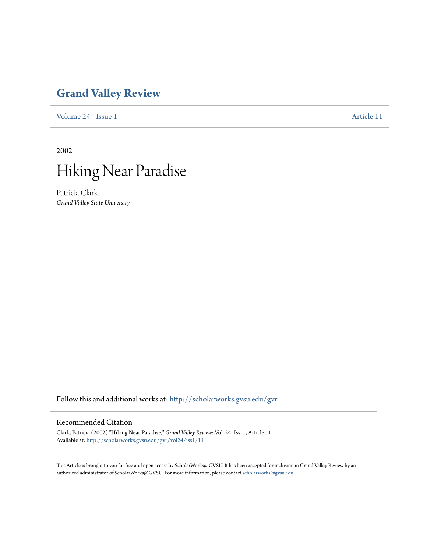## **[Grand Valley Review](http://scholarworks.gvsu.edu/gvr?utm_source=scholarworks.gvsu.edu%2Fgvr%2Fvol24%2Fiss1%2F11&utm_medium=PDF&utm_campaign=PDFCoverPages)**

[Volume 24](http://scholarworks.gvsu.edu/gvr/vol24?utm_source=scholarworks.gvsu.edu%2Fgvr%2Fvol24%2Fiss1%2F11&utm_medium=PDF&utm_campaign=PDFCoverPages) | [Issue 1](http://scholarworks.gvsu.edu/gvr/vol24/iss1?utm_source=scholarworks.gvsu.edu%2Fgvr%2Fvol24%2Fiss1%2F11&utm_medium=PDF&utm_campaign=PDFCoverPages) [Article 11](http://scholarworks.gvsu.edu/gvr/vol24/iss1/11?utm_source=scholarworks.gvsu.edu%2Fgvr%2Fvol24%2Fiss1%2F11&utm_medium=PDF&utm_campaign=PDFCoverPages)

2002



Patricia Clark *Grand Valley State University*

Follow this and additional works at: [http://scholarworks.gvsu.edu/gvr](http://scholarworks.gvsu.edu/gvr?utm_source=scholarworks.gvsu.edu%2Fgvr%2Fvol24%2Fiss1%2F11&utm_medium=PDF&utm_campaign=PDFCoverPages)

## Recommended Citation

Clark, Patricia (2002) "Hiking Near Paradise," *Grand Valley Review*: Vol. 24: Iss. 1, Article 11. Available at: [http://scholarworks.gvsu.edu/gvr/vol24/iss1/11](http://scholarworks.gvsu.edu/gvr/vol24/iss1/11?utm_source=scholarworks.gvsu.edu%2Fgvr%2Fvol24%2Fiss1%2F11&utm_medium=PDF&utm_campaign=PDFCoverPages)

This Article is brought to you for free and open access by ScholarWorks@GVSU. It has been accepted for inclusion in Grand Valley Review by an authorized administrator of ScholarWorks@GVSU. For more information, please contact [scholarworks@gvsu.edu.](mailto:scholarworks@gvsu.edu)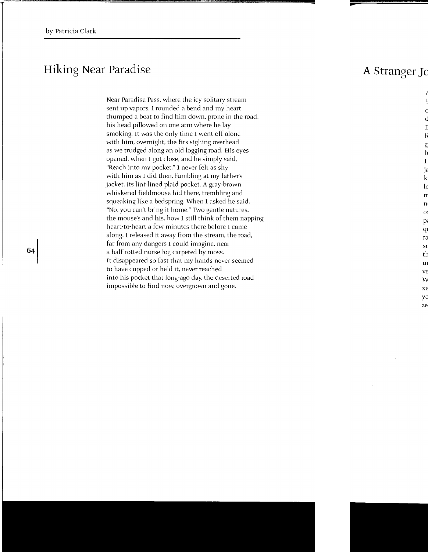## **Hiking Near Paradise**

Near Paradise Pass, where the icy solitary stream sent up vapors, I rounded a bend and my heart thumped a beat to find him down, prone in the road, his head pillowed on one arm where he lay smoking. It was the only time I went off alone with him, overnight, the firs sighing overhead as we trudged along an old logging road. His eyes opened. when I got close, and he simply said, "Reach into my pocket." I never felt as shy with him as I did then, fumbling at my father's jacket, its lint-lined plaid pocket. A gray-brown whiskered fieldmouse hid there, trembling and squeaking like a bedspring. When I asked he said, "No, you can't bring it home." Two gentle natures, the mouse's and his, how I still think of them napping heart-to-heart a few minutes there before I came along. I released it away from the stream, the road, far from any dangers I could imagine, near a half-rotted nurse-log carpeted by moss. It disappeared so fast that my hands never seemed to have cupped or held it, never reached into his pocket that long-ago day. the deserted road impossible to find now, overgrown and gone.